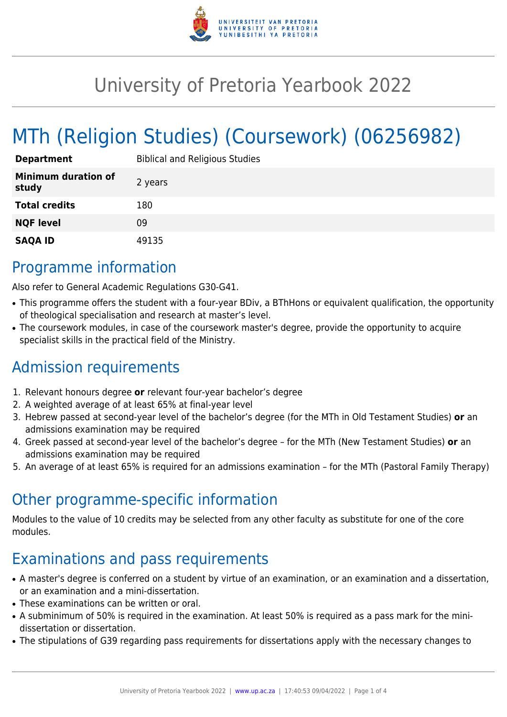

# University of Pretoria Yearbook 2022

# MTh (Religion Studies) (Coursework) (06256982)

| <b>Department</b>                   | <b>Biblical and Religious Studies</b> |
|-------------------------------------|---------------------------------------|
| <b>Minimum duration of</b><br>study | 2 years                               |
| <b>Total credits</b>                | 180                                   |
| <b>NQF level</b>                    | 09                                    |
| <b>SAQA ID</b>                      | 49135                                 |

### Programme information

Also refer to General Academic Regulations G30-G41.

- This programme offers the student with a four-year BDiv, a BThHons or equivalent qualification, the opportunity of theological specialisation and research at master's level.
- The coursework modules, in case of the coursework master's degree, provide the opportunity to acquire specialist skills in the practical field of the Ministry.

# Admission requirements

- 1. Relevant honours degree **or** relevant four-year bachelor's degree
- 2. A weighted average of at least 65% at final-year level
- 3. Hebrew passed at second-year level of the bachelor's degree (for the MTh in Old Testament Studies) **or** an admissions examination may be required
- 4. Greek passed at second-year level of the bachelor's degree for the MTh (New Testament Studies) **or** an admissions examination may be required
- 5. An average of at least 65% is required for an admissions examination for the MTh (Pastoral Family Therapy)

### Other programme-specific information

Modules to the value of 10 credits may be selected from any other faculty as substitute for one of the core modules.

### Examinations and pass requirements

- A master's degree is conferred on a student by virtue of an examination, or an examination and a dissertation, or an examination and a mini-dissertation.
- These examinations can be written or oral.
- A subminimum of 50% is required in the examination. At least 50% is required as a pass mark for the minidissertation or dissertation.
- The stipulations of G39 regarding pass requirements for dissertations apply with the necessary changes to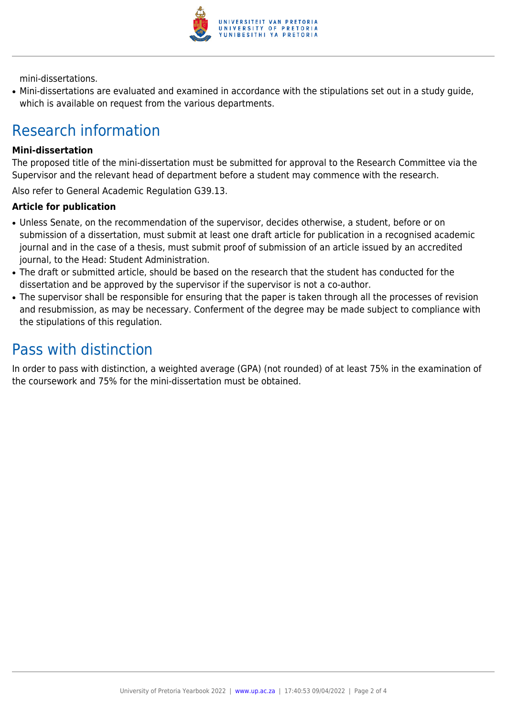

mini-dissertations.

● Mini-dissertations are evaluated and examined in accordance with the stipulations set out in a study guide, which is available on request from the various departments.

# Research information

#### **Mini-dissertation**

The proposed title of the mini-dissertation must be submitted for approval to the Research Committee via the Supervisor and the relevant head of department before a student may commence with the research.

Also refer to General Academic Regulation G39.13.

#### **Article for publication**

- Unless Senate, on the recommendation of the supervisor, decides otherwise, a student, before or on submission of a dissertation, must submit at least one draft article for publication in a recognised academic journal and in the case of a thesis, must submit proof of submission of an article issued by an accredited journal, to the Head: Student Administration.
- The draft or submitted article, should be based on the research that the student has conducted for the dissertation and be approved by the supervisor if the supervisor is not a co-author.
- The supervisor shall be responsible for ensuring that the paper is taken through all the processes of revision and resubmission, as may be necessary. Conferment of the degree may be made subject to compliance with the stipulations of this regulation.

### Pass with distinction

In order to pass with distinction, a weighted average (GPA) (not rounded) of at least 75% in the examination of the coursework and 75% for the mini-dissertation must be obtained.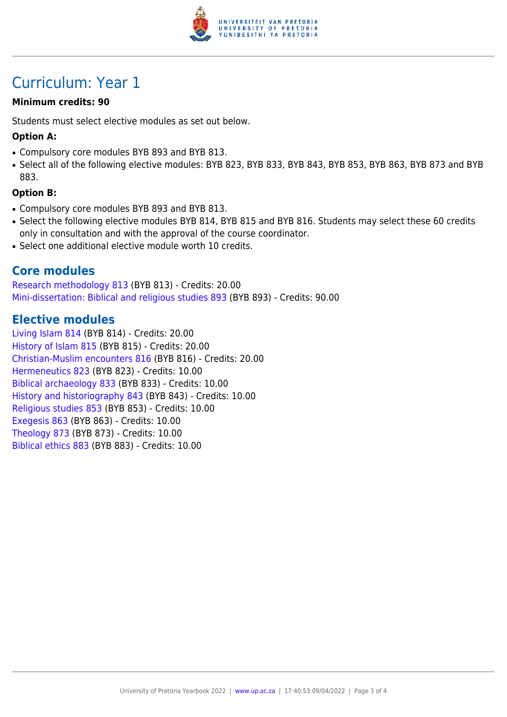

## Curriculum: Year 1

#### **Minimum credits: 90**

Students must select elective modules as set out below.

#### **Option A:**

- Compulsory core modules BYB 893 and BYB 813.
- Select all of the following elective modules: BYB 823, BYB 833, BYB 843, BYB 853, BYB 863, BYB 873 and BYB 883.

#### **Option B:**

- Compulsory core modules BYB 893 and BYB 813.
- Select the following elective modules BYB 814, BYB 815 and BYB 816. Students may select these 60 credits only in consultation and with the approval of the course coordinator.
- Select one additional elective module worth 10 credits.

#### **Core modules**

[Research methodology 813](https://www.up.ac.za/faculty-of-education/yearbooks/2022/modules/view/BYB 813) (BYB 813) - Credits: 20.00 [Mini-dissertation: Biblical and religious studies 893](https://www.up.ac.za/faculty-of-education/yearbooks/2022/modules/view/BYB 893) (BYB 893) - Credits: 90.00

#### **Elective modules**

[Living Islam 814](https://www.up.ac.za/faculty-of-education/yearbooks/2022/modules/view/BYB 814) (BYB 814) - Credits: 20.00 [History of Islam 815](https://www.up.ac.za/faculty-of-education/yearbooks/2022/modules/view/BYB 815) (BYB 815) - Credits: 20.00 [Christian-Muslim encounters 816](https://www.up.ac.za/faculty-of-education/yearbooks/2022/modules/view/BYB 816) (BYB 816) - Credits: 20.00 [Hermeneutics 823](https://www.up.ac.za/faculty-of-education/yearbooks/2022/modules/view/BYB 823) (BYB 823) - Credits: 10.00 [Biblical archaeology 833](https://www.up.ac.za/faculty-of-education/yearbooks/2022/modules/view/BYB 833) (BYB 833) - Credits: 10.00 [History and historiography 843](https://www.up.ac.za/faculty-of-education/yearbooks/2022/modules/view/BYB 843) (BYB 843) - Credits: 10.00 [Religious studies 853](https://www.up.ac.za/faculty-of-education/yearbooks/2022/modules/view/BYB 853) (BYB 853) - Credits: 10.00 [Exegesis 863](https://www.up.ac.za/faculty-of-education/yearbooks/2022/modules/view/BYB 863) (BYB 863) - Credits: 10.00 [Theology 873](https://www.up.ac.za/faculty-of-education/yearbooks/2022/modules/view/BYB 873) (BYB 873) - Credits: 10.00 [Biblical ethics 883](https://www.up.ac.za/faculty-of-education/yearbooks/2022/modules/view/BYB 883) (BYB 883) - Credits: 10.00